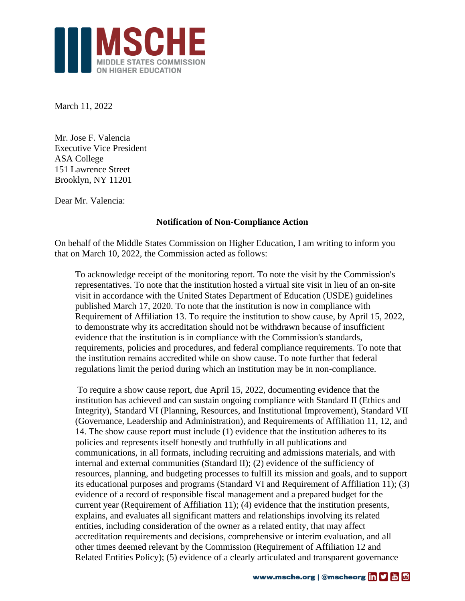

March 11, 2022

Mr. Jose F. Valencia Executive Vice President ASA College 151 Lawrence Street Brooklyn, NY 11201

Dear Mr. Valencia:

## **Notification of Non-Compliance Action**

On behalf of the Middle States Commission on Higher Education, I am writing to inform you that on March 10, 2022, the Commission acted as follows:

To acknowledge receipt of the monitoring report. To note the visit by the Commission's representatives. To note that the institution hosted a virtual site visit in lieu of an on-site visit in accordance with the United States Department of Education (USDE) guidelines published March 17, 2020. To note that the institution is now in compliance with Requirement of Affiliation 13. To require the institution to show cause, by April 15, 2022, to demonstrate why its accreditation should not be withdrawn because of insufficient evidence that the institution is in compliance with the Commission's standards, requirements, policies and procedures, and federal compliance requirements. To note that the institution remains accredited while on show cause. To note further that federal regulations limit the period during which an institution may be in non-compliance.

To require a show cause report, due April 15, 2022, documenting evidence that the institution has achieved and can sustain ongoing compliance with Standard II (Ethics and Integrity), Standard VI (Planning, Resources, and Institutional Improvement), Standard VII (Governance, Leadership and Administration), and Requirements of Affiliation 11, 12, and 14. The show cause report must include (1) evidence that the institution adheres to its policies and represents itself honestly and truthfully in all publications and communications, in all formats, including recruiting and admissions materials, and with internal and external communities (Standard II); (2) evidence of the sufficiency of resources, planning, and budgeting processes to fulfill its mission and goals, and to support its educational purposes and programs (Standard VI and Requirement of Affiliation 11); (3) evidence of a record of responsible fiscal management and a prepared budget for the current year (Requirement of Affiliation 11); (4) evidence that the institution presents, explains, and evaluates all significant matters and relationships involving its related entities, including consideration of the owner as a related entity, that may affect accreditation requirements and decisions, comprehensive or interim evaluation, and all other times deemed relevant by the Commission (Requirement of Affiliation 12 and Related Entities Policy); (5) evidence of a clearly articulated and transparent governance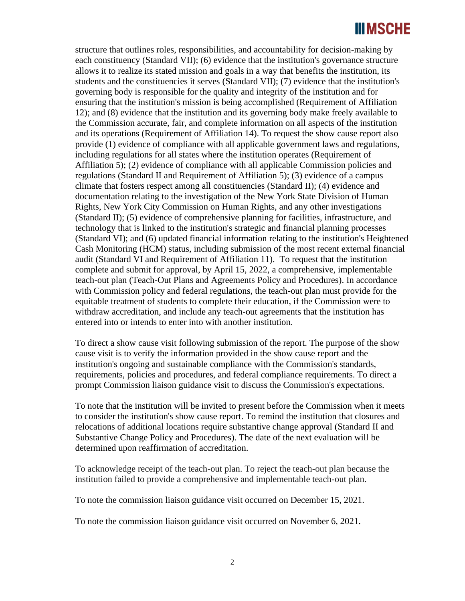## **IIIMSCHE**

structure that outlines roles, responsibilities, and accountability for decision-making by each constituency (Standard VII); (6) evidence that the institution's governance structure allows it to realize its stated mission and goals in a way that benefits the institution, its students and the constituencies it serves (Standard VII); (7) evidence that the institution's governing body is responsible for the quality and integrity of the institution and for ensuring that the institution's mission is being accomplished (Requirement of Affiliation 12); and (8) evidence that the institution and its governing body make freely available to the Commission accurate, fair, and complete information on all aspects of the institution and its operations (Requirement of Affiliation 14). To request the show cause report also provide (1) evidence of compliance with all applicable government laws and regulations, including regulations for all states where the institution operates (Requirement of Affiliation 5); (2) evidence of compliance with all applicable Commission policies and regulations (Standard II and Requirement of Affiliation 5); (3) evidence of a campus climate that fosters respect among all constituencies (Standard II); (4) evidence and documentation relating to the investigation of the New York State Division of Human Rights, New York City Commission on Human Rights, and any other investigations (Standard II); (5) evidence of comprehensive planning for facilities, infrastructure, and technology that is linked to the institution's strategic and financial planning processes (Standard VI); and (6) updated financial information relating to the institution's Heightened Cash Monitoring (HCM) status, including submission of the most recent external financial audit (Standard VI and Requirement of Affiliation 11). To request that the institution complete and submit for approval, by April 15, 2022, a comprehensive, implementable teach-out plan (Teach-Out Plans and Agreements Policy and Procedures). In accordance with Commission policy and federal regulations, the teach-out plan must provide for the equitable treatment of students to complete their education, if the Commission were to withdraw accreditation, and include any teach-out agreements that the institution has entered into or intends to enter into with another institution.

To direct a show cause visit following submission of the report. The purpose of the show cause visit is to verify the information provided in the show cause report and the institution's ongoing and sustainable compliance with the Commission's standards, requirements, policies and procedures, and federal compliance requirements. To direct a prompt Commission liaison guidance visit to discuss the Commission's expectations.

To note that the institution will be invited to present before the Commission when it meets to consider the institution's show cause report. To remind the institution that closures and relocations of additional locations require substantive change approval (Standard II and Substantive Change Policy and Procedures). The date of the next evaluation will be determined upon reaffirmation of accreditation.

To acknowledge receipt of the teach-out plan. To reject the teach-out plan because the institution failed to provide a comprehensive and implementable teach-out plan.

To note the commission liaison guidance visit occurred on December 15, 2021.

To note the commission liaison guidance visit occurred on November 6, 2021.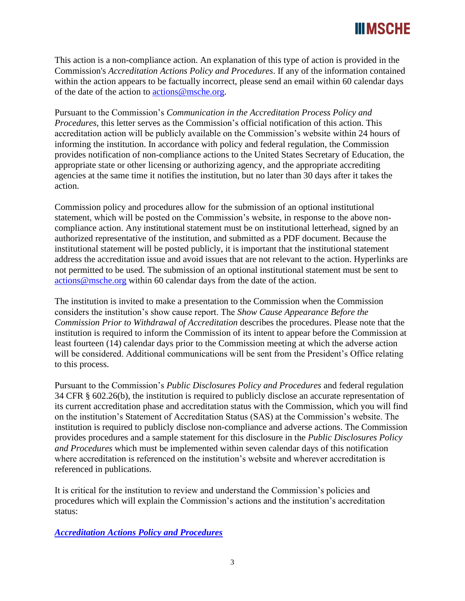## III MSCHE

This action is a non-compliance action. An explanation of this type of action is provided in the Commission's *Accreditation Actions Policy and Procedures*. If any of the information contained within the action appears to be factually incorrect, please send an email within 60 calendar days of the date of the action to [actions@msche.org.](mailto:actions@msche.org)

Pursuant to the Commission's *Communication in the Accreditation Process Policy and Procedures*, this letter serves as the Commission's official notification of this action. This accreditation action will be publicly available on the Commission's website within 24 hours of informing the institution. In accordance with policy and federal regulation, the Commission provides notification of non-compliance actions to the United States Secretary of Education, the appropriate state or other licensing or authorizing agency, and the appropriate accrediting agencies at the same time it notifies the institution, but no later than 30 days after it takes the action.

Commission policy and procedures allow for the submission of an optional institutional statement, which will be posted on the Commission's website, in response to the above noncompliance action. Any institutional statement must be on institutional letterhead, signed by an authorized representative of the institution, and submitted as a PDF document. Because the institutional statement will be posted publicly, it is important that the institutional statement address the accreditation issue and avoid issues that are not relevant to the action. Hyperlinks are not permitted to be used. The submission of an optional institutional statement must be sent to [actions@msche.org](mailto:actions@msche.org) within 60 calendar days from the date of the action.

The institution is invited to make a presentation to the Commission when the Commission considers the institution's show cause report. The *Show Cause Appearance Before the Commission Prior to Withdrawal of Accreditation* describes the procedures. Please note that the institution is required to inform the Commission of its intent to appear before the Commission at least fourteen (14) calendar days prior to the Commission meeting at which the adverse action will be considered. Additional communications will be sent from the President's Office relating to this process.

Pursuant to the Commission's *Public Disclosures Policy and Procedures* and federal regulation 34 CFR § 602.26(b), the institution is required to publicly disclose an accurate representation of its current accreditation phase and accreditation status with the Commission, which you will find on the institution's Statement of Accreditation Status (SAS) at the Commission's website. The institution is required to publicly disclose non-compliance and adverse actions. The Commission provides procedures and a sample statement for this disclosure in the *Public Disclosures Policy and Procedures* which must be implemented within seven calendar days of this notification where accreditation is referenced on the institution's website and wherever accreditation is referenced in publications.

It is critical for the institution to review and understand the Commission's policies and procedures which will explain the Commission's actions and the institution's accreditation status:

*[Accreditation Actions Policy and Procedures](https://go.msche.org/Accreditation-Actions)*